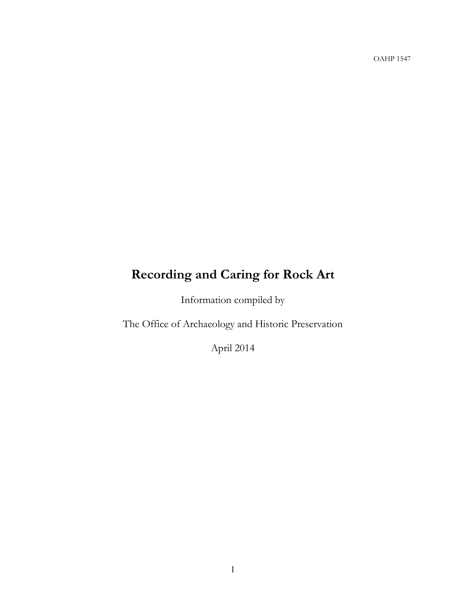OAHP 1547

# **Recording and Caring for Rock Art**

Information compiled by

The Office of Archaeology and Historic Preservation

April 2014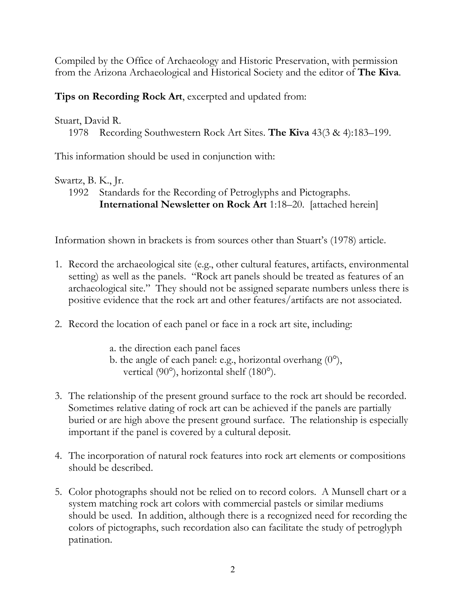Compiled by the Office of Archaeology and Historic Preservation, with permission from the Arizona Archaeological and Historical Society and the editor of **The Kiva**.

**Tips on Recording Rock Art**, excerpted and updated from:

# Stuart, David R.

1978 Recording Southwestern Rock Art Sites. **The Kiva** 43(3 & 4):183–199.

This information should be used in conjunction with:

# Swartz, B. K., Jr.

1992 Standards for the Recording of Petroglyphs and Pictographs. **International Newsletter on Rock Art** 1:18–20. [attached herein]

Information shown in brackets is from sources other than Stuart's (1978) article.

- 1. Record the archaeological site (e.g., other cultural features, artifacts, environmental setting) as well as the panels. "Rock art panels should be treated as features of an archaeological site." They should not be assigned separate numbers unless there is positive evidence that the rock art and other features/artifacts are not associated.
- 2. Record the location of each panel or face in a rock art site, including:
	- a. the direction each panel faces
	- b. the angle of each panel: e.g., horizontal overhang  $(0^{\circ})$ , vertical (90°), horizontal shelf (180°).
- 3. The relationship of the present ground surface to the rock art should be recorded. Sometimes relative dating of rock art can be achieved if the panels are partially buried or are high above the present ground surface. The relationship is especially important if the panel is covered by a cultural deposit.
- 4. The incorporation of natural rock features into rock art elements or compositions should be described.
- 5. Color photographs should not be relied on to record colors. A Munsell chart or a system matching rock art colors with commercial pastels or similar mediums should be used. In addition, although there is a recognized need for recording the colors of pictographs, such recordation also can facilitate the study of petroglyph patination.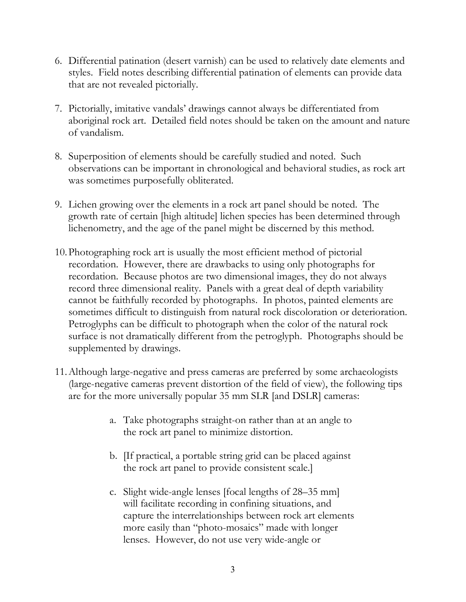- 6. Differential patination (desert varnish) can be used to relatively date elements and styles. Field notes describing differential patination of elements can provide data that are not revealed pictorially.
- 7. Pictorially, imitative vandals' drawings cannot always be differentiated from aboriginal rock art. Detailed field notes should be taken on the amount and nature of vandalism.
- 8. Superposition of elements should be carefully studied and noted. Such observations can be important in chronological and behavioral studies, as rock art was sometimes purposefully obliterated.
- 9. Lichen growing over the elements in a rock art panel should be noted. The growth rate of certain [high altitude] lichen species has been determined through lichenometry, and the age of the panel might be discerned by this method.
- 10.Photographing rock art is usually the most efficient method of pictorial recordation. However, there are drawbacks to using only photographs for recordation. Because photos are two dimensional images, they do not always record three dimensional reality. Panels with a great deal of depth variability cannot be faithfully recorded by photographs. In photos, painted elements are sometimes difficult to distinguish from natural rock discoloration or deterioration. Petroglyphs can be difficult to photograph when the color of the natural rock surface is not dramatically different from the petroglyph. Photographs should be supplemented by drawings.
- 11.Although large-negative and press cameras are preferred by some archaeologists (large-negative cameras prevent distortion of the field of view), the following tips are for the more universally popular 35 mm SLR [and DSLR] cameras:
	- a. Take photographs straight-on rather than at an angle to the rock art panel to minimize distortion.
	- b. [If practical, a portable string grid can be placed against the rock art panel to provide consistent scale.]
	- c. Slight wide-angle lenses [focal lengths of 28–35 mm] will facilitate recording in confining situations, and capture the interrelationships between rock art elements more easily than "photo-mosaics" made with longer lenses. However, do not use very wide-angle or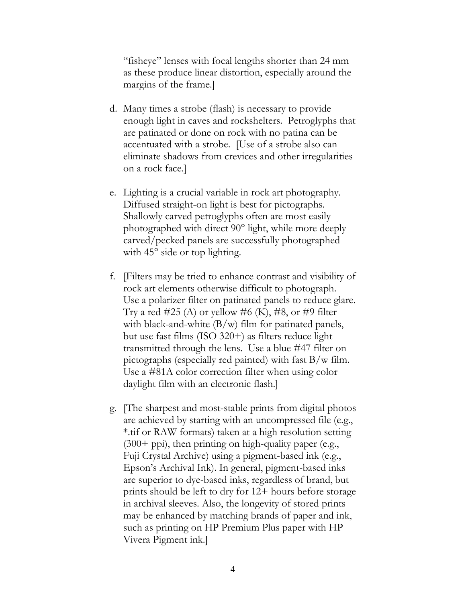"fisheye" lenses with focal lengths shorter than 24 mm as these produce linear distortion, especially around the margins of the frame.]

- d. Many times a strobe (flash) is necessary to provide enough light in caves and rockshelters. Petroglyphs that are patinated or done on rock with no patina can be accentuated with a strobe. [Use of a strobe also can eliminate shadows from crevices and other irregularities on a rock face.]
- e. Lighting is a crucial variable in rock art photography. Diffused straight-on light is best for pictographs. Shallowly carved petroglyphs often are most easily photographed with direct 90° light, while more deeply carved/pecked panels are successfully photographed with 45<sup>°</sup> side or top lighting.
- f. [Filters may be tried to enhance contrast and visibility of rock art elements otherwise difficult to photograph. Use a polarizer filter on patinated panels to reduce glare. Try a red #25 (A) or yellow #6 (K), #8, or #9 filter with black-and-white  $(B/w)$  film for patinated panels, but use fast films (ISO 320+) as filters reduce light transmitted through the lens. Use a blue #47 filter on pictographs (especially red painted) with fast  $B/w$  film. Use a #81A color correction filter when using color daylight film with an electronic flash.]
- g. [The sharpest and most-stable prints from digital photos are achieved by starting with an uncompressed file (e.g., \*.tif or RAW formats) taken at a high resolution setting  $(300+)$  ppi), then printing on high-quality paper (e.g., Fuji Crystal Archive) using a pigment-based ink (e.g., Epson's Archival Ink). In general, pigment-based inks are superior to dye-based inks, regardless of brand, but prints should be left to dry for 12+ hours before storage in archival sleeves. Also, the longevity of stored prints may be enhanced by matching brands of paper and ink, such as printing on HP Premium Plus paper with HP Vivera Pigment ink.]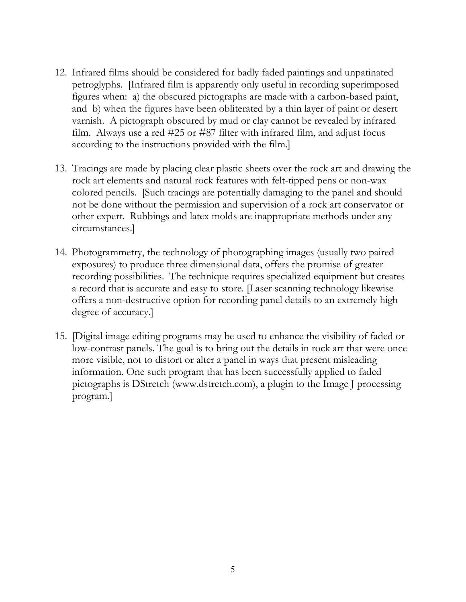- 12. Infrared films should be considered for badly faded paintings and unpatinated petroglyphs. [Infrared film is apparently only useful in recording superimposed figures when: a) the obscured pictographs are made with a carbon-based paint, and b) when the figures have been obliterated by a thin layer of paint or desert varnish. A pictograph obscured by mud or clay cannot be revealed by infrared film. Always use a red #25 or #87 filter with infrared film, and adjust focus according to the instructions provided with the film.]
- 13. Tracings are made by placing clear plastic sheets over the rock art and drawing the rock art elements and natural rock features with felt-tipped pens or non-wax colored pencils. [Such tracings are potentially damaging to the panel and should not be done without the permission and supervision of a rock art conservator or other expert. Rubbings and latex molds are inappropriate methods under any circumstances.]
- 14. Photogrammetry, the technology of photographing images (usually two paired exposures) to produce three dimensional data, offers the promise of greater recording possibilities. The technique requires specialized equipment but creates a record that is accurate and easy to store. [Laser scanning technology likewise offers a non-destructive option for recording panel details to an extremely high degree of accuracy.]
- 15. [Digital image editing programs may be used to enhance the visibility of faded or low-contrast panels. The goal is to bring out the details in rock art that were once more visible, not to distort or alter a panel in ways that present misleading information. One such program that has been successfully applied to faded pictographs is DStretch (www.dstretch.com), a plugin to the Image J processing program.]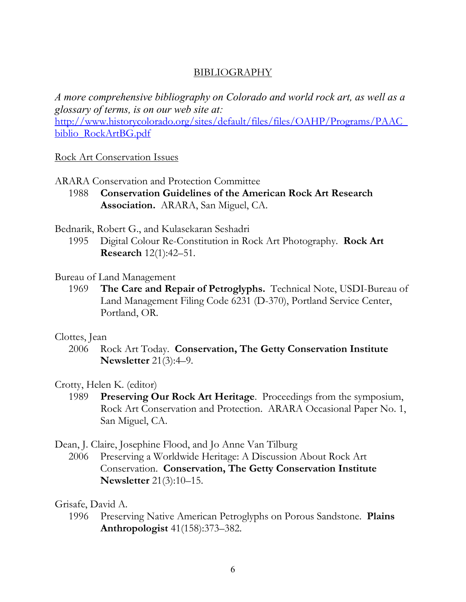# BIBLIOGRAPHY

*A more comprehensive bibliography on Colorado and world rock art, as well as a glossary of terms, is on our web site at:*

[http://www.historycolorado.org/sites/default/files/files/OAHP/Programs/PAAC\\_](http://www.historycolorado.org/sites/default/files/files/OAHP/Programs/PAAC_biblio_RockArtBG.pdf) [biblio\\_RockArtBG.pdf](http://www.historycolorado.org/sites/default/files/files/OAHP/Programs/PAAC_biblio_RockArtBG.pdf)

# Rock Art Conservation Issues

ARARA Conservation and Protection Committee

1988 **Conservation Guidelines of the American Rock Art Research Association.** ARARA, San Miguel, CA.

# Bednarik, Robert G., and Kulasekaran Seshadri

1995 Digital Colour Re-Constitution in Rock Art Photography. **Rock Art Research** 12(1):42–51.

# Bureau of Land Management

1969 **The Care and Repair of Petroglyphs.** Technical Note, USDI-Bureau of Land Management Filing Code 6231 (D-370), Portland Service Center, Portland, OR.

# Clottes, Jean

2006 Rock Art Today. **Conservation, The Getty Conservation Institute Newsletter** 21(3):4–9.

# Crotty, Helen K. (editor)

1989 **Preserving Our Rock Art Heritage**. Proceedings from the symposium, Rock Art Conservation and Protection. ARARA Occasional Paper No. 1, San Miguel, CA.

Dean, J. Claire, Josephine Flood, and Jo Anne Van Tilburg

2006 Preserving a Worldwide Heritage: A Discussion About Rock Art Conservation. **Conservation, The Getty Conservation Institute Newsletter** 21(3):10–15.

# Grisafe, David A.

1996 Preserving Native American Petroglyphs on Porous Sandstone. **Plains Anthropologist** 41(158):373–382.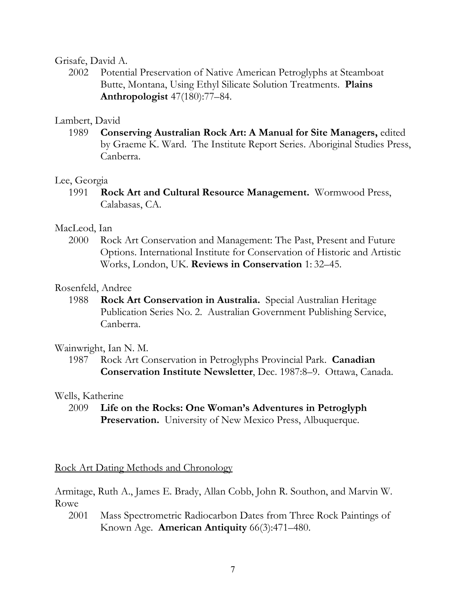# Grisafe, David A.

2002 Potential Preservation of Native American Petroglyphs at Steamboat Butte, Montana, Using Ethyl Silicate Solution Treatments. **Plains Anthropologist** 47(180):77–84.

# Lambert, David

1989 **Conserving Australian Rock Art: A Manual for Site Managers,** edited by Graeme K. Ward. The Institute Report Series. Aboriginal Studies Press, Canberra.

#### Lee, Georgia

1991 **Rock Art and Cultural Resource Management.** Wormwood Press, Calabasas, CA.

### MacLeod, Ian

2000 Rock Art Conservation and Management: The Past, Present and Future Options. International Institute for Conservation of Historic and Artistic Works, London, UK. **Reviews in Conservation** 1: 32–45.

### Rosenfeld, Andree

1988 **Rock Art Conservation in Australia.** Special Australian Heritage Publication Series No. 2. Australian Government Publishing Service, Canberra.

#### Wainwright, Ian N. M.

1987 Rock Art Conservation in Petroglyphs Provincial Park. **Canadian Conservation Institute Newsletter**, Dec. 1987:8–9. Ottawa, Canada.

# Wells, Katherine

2009 **Life on the Rocks: One Woman's Adventures in Petroglyph Preservation.** University of New Mexico Press, Albuquerque.

Rock Art Dating Methods and Chronology

Armitage, Ruth A., James E. Brady, Allan Cobb, John R. Southon, and Marvin W. Rowe

2001 Mass Spectrometric Radiocarbon Dates from Three Rock Paintings of Known Age. **American Antiquity** 66(3):471–480.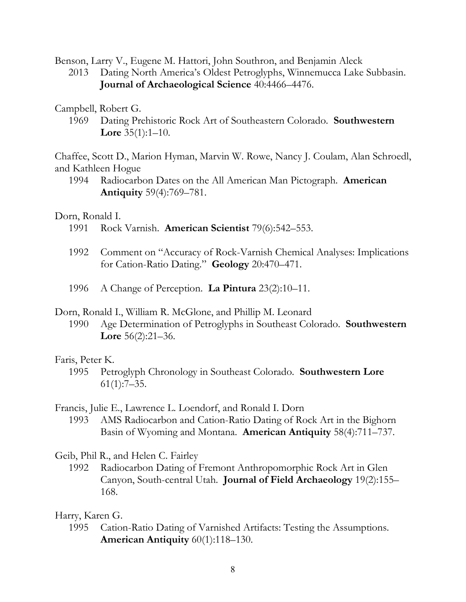Benson, Larry V., Eugene M. Hattori, John Southron, and Benjamin Aleck

- 2013 Dating North America's Oldest Petroglyphs, Winnemucca Lake Subbasin. **Journal of Archaeological Science** 40:4466–4476.
- Campbell, Robert G.
	- 1969 Dating Prehistoric Rock Art of Southeastern Colorado. **Southwestern Lore** 35(1):1–10.

Chaffee, Scott D., Marion Hyman, Marvin W. Rowe, Nancy J. Coulam, Alan Schroedl, and Kathleen Hogue

1994 Radiocarbon Dates on the All American Man Pictograph. **American Antiquity** 59(4):769–781.

Dorn, Ronald I.

- 1991 Rock Varnish. **American Scientist** 79(6):542–553.
- 1992 Comment on "Accuracy of Rock-Varnish Chemical Analyses: Implications for Cation-Ratio Dating." **Geology** 20:470–471.
- 1996 A Change of Perception. **La Pintura** 23(2):10–11.
- Dorn, Ronald I., William R. McGlone, and Phillip M. Leonard
	- 1990 Age Determination of Petroglyphs in Southeast Colorado. **Southwestern Lore** 56(2):21–36.

#### Faris, Peter K.

1995 Petroglyph Chronology in Southeast Colorado. **Southwestern Lore** 61(1):7–35.

Francis, Julie E., Lawrence L. Loendorf, and Ronald I. Dorn

1993 AMS Radiocarbon and Cation-Ratio Dating of Rock Art in the Bighorn Basin of Wyoming and Montana. **American Antiquity** 58(4):711–737.

Geib, Phil R., and Helen C. Fairley

1992 Radiocarbon Dating of Fremont Anthropomorphic Rock Art in Glen Canyon, South-central Utah. **Journal of Field Archaeology** 19(2):155– 168.

# Harry, Karen G.

1995 Cation-Ratio Dating of Varnished Artifacts: Testing the Assumptions. **American Antiquity** 60(1):118–130.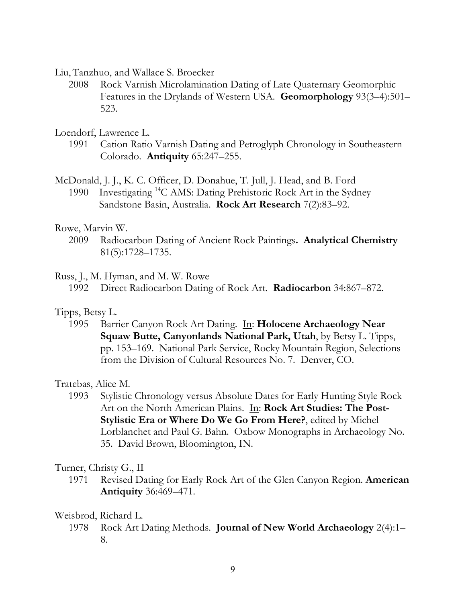Liu, Tanzhuo, and Wallace S. Broecker

2008 Rock Varnish Microlamination Dating of Late Quaternary Geomorphic Features in the Drylands of Western USA. **Geomorphology** 93(3–4):501– 523.

Loendorf, Lawrence L.

1991 Cation Ratio Varnish Dating and Petroglyph Chronology in Southeastern Colorado. **Antiquity** 65:247–255.

McDonald, J. J., K. C. Officer, D. Donahue, T. Jull, J. Head, and B. Ford

1990 Investigating <sup>14</sup>C AMS: Dating Prehistoric Rock Art in the Sydney Sandstone Basin, Australia. **Rock Art Research** 7(2):83–92.

### Rowe, Marvin W.

2009 Radiocarbon Dating of Ancient Rock Paintings**. Analytical Chemistry**  81(5):1728–1735.

### Russ, J., M. Hyman, and M. W. Rowe

1992 Direct Radiocarbon Dating of Rock Art. **Radiocarbon** 34:867–872.

# Tipps, Betsy L.

1995 Barrier Canyon Rock Art Dating. In: **Holocene Archaeology Near Squaw Butte, Canyonlands National Park, Utah**, by Betsy L. Tipps, pp. 153–169. National Park Service, Rocky Mountain Region, Selections from the Division of Cultural Resources No. 7. Denver, CO.

Tratebas, Alice M.

1993 Stylistic Chronology versus Absolute Dates for Early Hunting Style Rock Art on the North American Plains. In: **Rock Art Studies: The Post-Stylistic Era or Where Do We Go From Here?**, edited by Michel Lorblanchet and Paul G. Bahn. Oxbow Monographs in Archaeology No. 35. David Brown, Bloomington, IN.

# Turner, Christy G., II

1971 Revised Dating for Early Rock Art of the Glen Canyon Region. **American Antiquity** 36:469–471.

Weisbrod, Richard L.

1978 Rock Art Dating Methods. **Journal of New World Archaeology** 2(4):1– 8.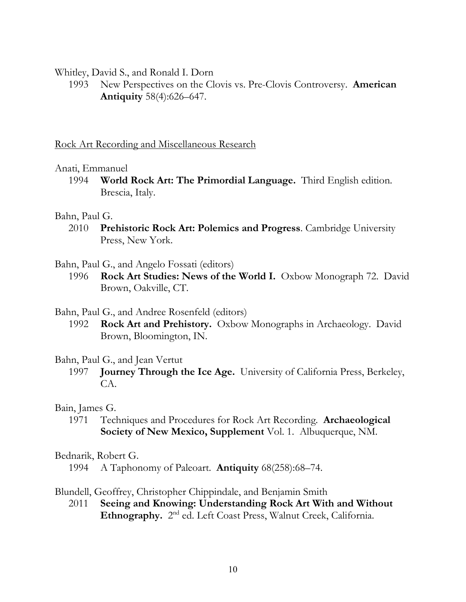Whitley, David S., and Ronald I. Dorn

1993 New Perspectives on the Clovis vs. Pre-Clovis Controversy. **American Antiquity** 58(4):626–647.

Rock Art Recording and Miscellaneous Research

### Anati, Emmanuel

1994 **World Rock Art: The Primordial Language.** Third English edition. Brescia, Italy.

### Bahn, Paul G.

- 2010 **Prehistoric Rock Art: Polemics and Progress**. Cambridge University Press, New York.
- Bahn, Paul G., and Angelo Fossati (editors)
	- 1996 **Rock Art Studies: News of the World I.** Oxbow Monograph 72. David Brown, Oakville, CT.
- Bahn, Paul G., and Andree Rosenfeld (editors)
	- 1992 **Rock Art and Prehistory.** Oxbow Monographs in Archaeology. David Brown, Bloomington, IN.

#### Bahn, Paul G., and Jean Vertut

1997 **Journey Through the Ice Age.** University of California Press, Berkeley, CA.

# Bain, James G.

1971 Techniques and Procedures for Rock Art Recording. **Archaeological Society of New Mexico, Supplement** Vol. 1. Albuquerque, NM.

#### Bednarik, Robert G.

1994 A Taphonomy of Paleoart. **Antiquity** 68(258):68–74.

# Blundell, Geoffrey, Christopher Chippindale, and Benjamin Smith

2011 **Seeing and Knowing: Understanding Rock Art With and Without**  Ethnography. 2<sup>nd</sup> ed. Left Coast Press, Walnut Creek, California.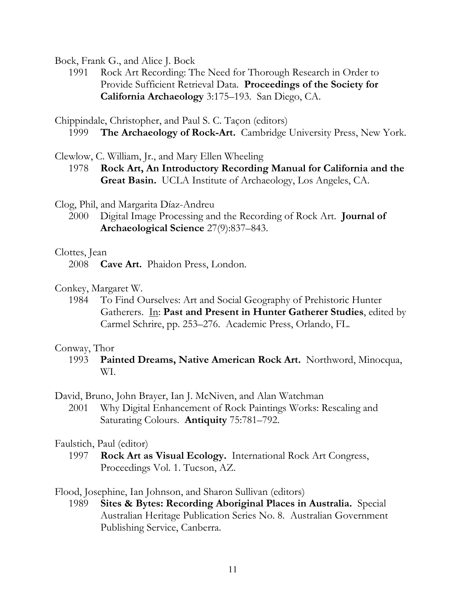Bock, Frank G., and Alice J. Bock

1991 Rock Art Recording: The Need for Thorough Research in Order to Provide Sufficient Retrieval Data. **Proceedings of the Society for California Archaeology** 3:175–193. San Diego, CA.

Chippindale, Christopher, and Paul S. C. Taçon (editors) 1999 **The Archaeology of Rock-Art.** Cambridge University Press, New York.

Clewlow, C. William, Jr., and Mary Ellen Wheeling

1978 **Rock Art, An Introductory Recording Manual for California and the Great Basin.** UCLA Institute of Archaeology, Los Angeles, CA.

Clog, Phil, and Margarita Díaz-Andreu

2000 Digital Image Processing and the Recording of Rock Art. **Journal of Archaeological Science** 27(9):837–843.

### Clottes, Jean

2008 **Cave Art.** Phaidon Press, London.

Conkey, Margaret W.

1984 To Find Ourselves: Art and Social Geography of Prehistoric Hunter Gatherers. In: **Past and Present in Hunter Gatherer Studies**, edited by Carmel Schrire, pp. 253–276. Academic Press, Orlando, FL.

# Conway, Thor

1993 **Painted Dreams, Native American Rock Art.** Northword, Minocqua, WI.

David, Bruno, John Brayer, Ian J. McNiven, and Alan Watchman

2001 Why Digital Enhancement of Rock Paintings Works: Rescaling and Saturating Colours. **Antiquity** 75:781–792.

# Faulstich, Paul (editor)

1997 **Rock Art as Visual Ecology.** International Rock Art Congress, Proceedings Vol. 1. Tucson, AZ.

Flood, Josephine, Ian Johnson, and Sharon Sullivan (editors)

1989 **Sites & Bytes: Recording Aboriginal Places in Australia.** Special Australian Heritage Publication Series No. 8. Australian Government Publishing Service, Canberra.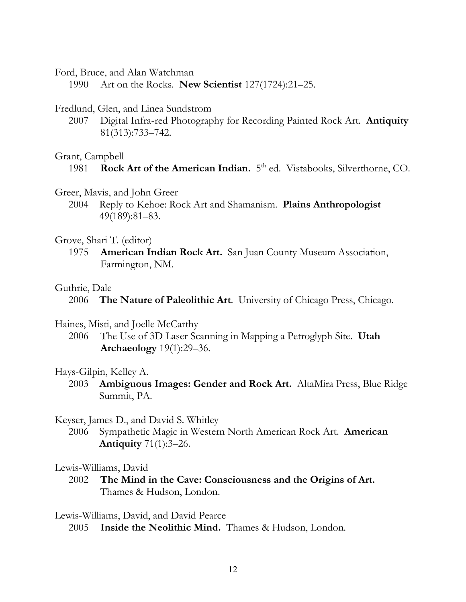Ford, Bruce, and Alan Watchman

1990 Art on the Rocks. **New Scientist** 127(1724):21–25.

#### Fredlund, Glen, and Linea Sundstrom

2007 Digital Infra-red Photography for Recording Painted Rock Art. **Antiquity** 81(313):733–742.

#### Grant, Campbell

- Greer, Mavis, and John Greer
	- 2004 Reply to Kehoe: Rock Art and Shamanism. **Plains Anthropologist** 49(189):81–83.

#### Grove, Shari T. (editor)

1975 **American Indian Rock Art.** San Juan County Museum Association, Farmington, NM.

#### Guthrie, Dale

2006 **The Nature of Paleolithic Art**. University of Chicago Press, Chicago.

#### Haines, Misti, and Joelle McCarthy

2006 The Use of 3D Laser Scanning in Mapping a Petroglyph Site. **Utah Archaeology** 19(1):29–36.

#### Hays-Gilpin, Kelley A.

2003 **Ambiguous Images: Gender and Rock Art.** AltaMira Press, Blue Ridge Summit, PA.

#### Keyser, James D., and David S. Whitley

2006 Sympathetic Magic in Western North American Rock Art. **American Antiquity** 71(1):3–26.

#### Lewis-Williams, David

2002 **The Mind in the Cave: Consciousness and the Origins of Art.**  Thames & Hudson, London.

Lewis-Williams, David, and David Pearce

2005 **Inside the Neolithic Mind.** Thames & Hudson, London.

<sup>1981</sup> **Rock Art of the American Indian.** 5<sup>th</sup> ed. Vistabooks, Silverthorne, CO.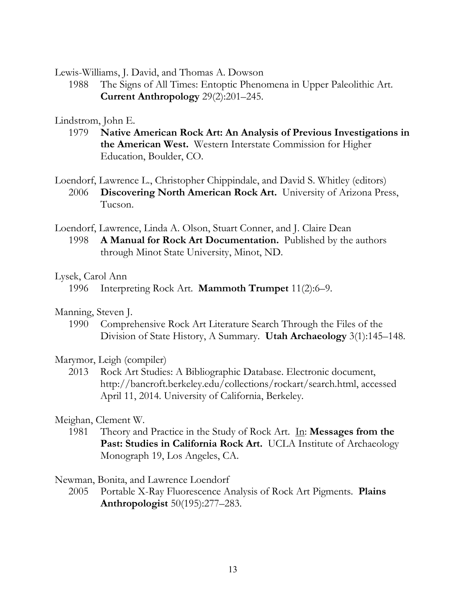Lewis-Williams, J. David, and Thomas A. Dowson

1988 The Signs of All Times: Entoptic Phenomena in Upper Paleolithic Art. **Current Anthropology** 29(2):201–245.

# Lindstrom, John E.

1979 **Native American Rock Art: An Analysis of Previous Investigations in the American West.** Western Interstate Commission for Higher Education, Boulder, CO.

Loendorf, Lawrence L., Christopher Chippindale, and David S. Whitley (editors) 2006 **Discovering North American Rock Art.** University of Arizona Press, Tucson.

Loendorf, Lawrence, Linda A. Olson, Stuart Conner, and J. Claire Dean 1998 **A Manual for Rock Art Documentation.** Published by the authors through Minot State University, Minot, ND.

# Lysek, Carol Ann

1996 Interpreting Rock Art. **Mammoth Trumpet** 11(2):6–9.

# Manning, Steven J.

1990 Comprehensive Rock Art Literature Search Through the Files of the Division of State History, A Summary. **Utah Archaeology** 3(1):145–148.

# Marymor, Leigh (compiler)

2013 Rock Art Studies: A Bibliographic Database. Electronic document, http://bancroft.berkeley.edu/collections/rockart/search.html, accessed April 11, 2014. University of California, Berkeley.

# Meighan, Clement W.

1981 Theory and Practice in the Study of Rock Art. In: **Messages from the**  Past: Studies in California Rock Art. UCLA Institute of Archaeology Monograph 19, Los Angeles, CA.

# Newman, Bonita, and Lawrence Loendorf

2005 Portable X-Ray Fluorescence Analysis of Rock Art Pigments. **Plains Anthropologist** 50(195):277–283.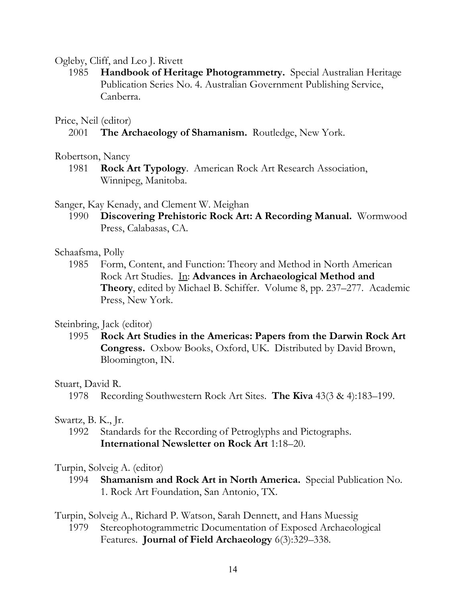### Ogleby, Cliff, and Leo J. Rivett

1985 **Handbook of Heritage Photogrammetry.** Special Australian Heritage Publication Series No. 4. Australian Government Publishing Service, Canberra.

### Price, Neil (editor)

2001 **The Archaeology of Shamanism.** Routledge, New York.

#### Robertson, Nancy

1981 **Rock Art Typology**. American Rock Art Research Association, Winnipeg, Manitoba.

### Sanger, Kay Kenady, and Clement W. Meighan

1990 **Discovering Prehistoric Rock Art: A Recording Manual.** Wormwood Press, Calabasas, CA.

#### Schaafsma, Polly

1985 Form, Content, and Function: Theory and Method in North American Rock Art Studies. In: **Advances in Archaeological Method and Theory**, edited by Michael B. Schiffer. Volume 8, pp. 237–277. Academic Press, New York.

# Steinbring, Jack (editor)

1995 **Rock Art Studies in the Americas: Papers from the Darwin Rock Art Congress.** Oxbow Books, Oxford, UK. Distributed by David Brown, Bloomington, IN.

# Stuart, David R.

1978 Recording Southwestern Rock Art Sites. **The Kiva** 43(3 & 4):183–199.

#### Swartz, B. K., Jr.

1992 Standards for the Recording of Petroglyphs and Pictographs. **International Newsletter on Rock Art** 1:18–20.

#### Turpin, Solveig A. (editor)

1994 **Shamanism and Rock Art in North America.** Special Publication No. 1. Rock Art Foundation, San Antonio, TX.

#### Turpin, Solveig A., Richard P. Watson, Sarah Dennett, and Hans Muessig

1979 Stereophotogrammetric Documentation of Exposed Archaeological Features. **Journal of Field Archaeology** 6(3):329–338.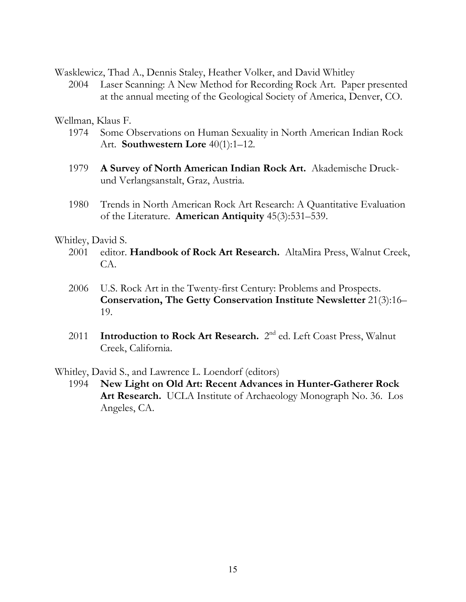Wasklewicz, Thad A., Dennis Staley, Heather Volker, and David Whitley

2004 Laser Scanning: A New Method for Recording Rock Art. Paper presented at the annual meeting of the Geological Society of America, Denver, CO.

# Wellman, Klaus F.

- 1974 Some Observations on Human Sexuality in North American Indian Rock Art. **Southwestern Lore** 40(1):1–12.
- 1979 **A Survey of North American Indian Rock Art.** Akademische Druckund Verlangsanstalt, Graz, Austria.
- 1980 Trends in North American Rock Art Research: A Quantitative Evaluation of the Literature. **American Antiquity** 45(3):531–539.

# Whitley, David S.

- 2001 editor. **Handbook of Rock Art Research.** AltaMira Press, Walnut Creek, CA.
- 2006 U.S. Rock Art in the Twenty-first Century: Problems and Prospects. **Conservation, The Getty Conservation Institute Newsletter** 21(3):16– 19.
- 2011 **Introduction to Rock Art Research.** 2nd ed. Left Coast Press, Walnut Creek, California.

Whitley, David S., and Lawrence L. Loendorf (editors)

1994 **New Light on Old Art: Recent Advances in Hunter-Gatherer Rock Art Research.** UCLA Institute of Archaeology Monograph No. 36. Los Angeles, CA.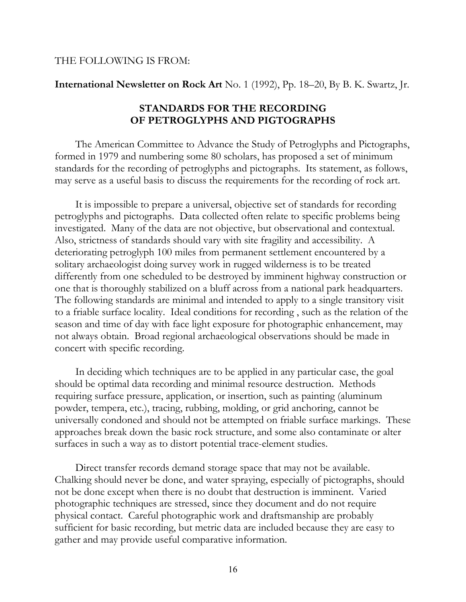#### THE FOLLOWING IS FROM:

#### **International Newsletter on Rock Art** No. 1 (1992), Pp. 18–20, By B. K. Swartz, Jr.

# **STANDARDS FOR THE RECORDING OF PETROGLYPHS AND PIGTOGRAPHS**

The American Committee to Advance the Study of Petroglyphs and Pictographs, formed in 1979 and numbering some 80 scholars, has proposed a set of minimum standards for the recording of petroglyphs and pictographs. Its statement, as follows, may serve as a useful basis to discuss the requirements for the recording of rock art.

It is impossible to prepare a universal, objective set of standards for recording petroglyphs and pictographs. Data collected often relate to specific problems being investigated. Many of the data are not objective, but observational and contextual. Also, strictness of standards should vary with site fragility and accessibility. A deteriorating petroglyph 100 miles from permanent settlement encountered by a solitary archaeologist doing survey work in rugged wilderness is to be treated differently from one scheduled to be destroyed by imminent highway construction or one that is thoroughly stabilized on a bluff across from a national park headquarters. The following standards are minimal and intended to apply to a single transitory visit to a friable surface locality. Ideal conditions for recording , such as the relation of the season and time of day with face light exposure for photographic enhancement, may not always obtain. Broad regional archaeological observations should be made in concert with specific recording.

In deciding which techniques are to be applied in any particular case, the goal should be optimal data recording and minimal resource destruction. Methods requiring surface pressure, application, or insertion, such as painting (aluminum powder, tempera, etc.), tracing, rubbing, molding, or grid anchoring, cannot be universally condoned and should not be attempted on friable surface markings. These approaches break down the basic rock structure, and some also contaminate or alter surfaces in such a way as to distort potential trace-element studies.

Direct transfer records demand storage space that may not be available. Chalking should never be done, and water spraying, especially of pictographs, should not be done except when there is no doubt that destruction is imminent. Varied photographic techniques are stressed, since they document and do not require physical contact. Careful photographic work and draftsmanship are probably sufficient for basic recording, but metric data are included because they are easy to gather and may provide useful comparative information.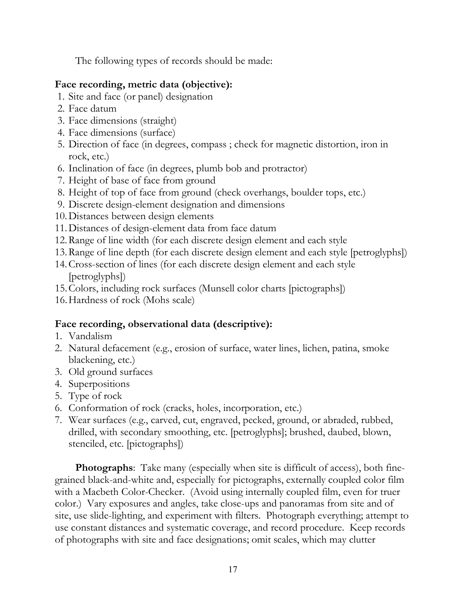The following types of records should be made:

# **Face recording, metric data (objective):**

- 1. Site and face (or panel) designation
- 2. Face datum
- 3. Face dimensions (straight)
- 4. Face dimensions (surface)
- 5. Direction of face (in degrees, compass ; check for magnetic distortion, iron in rock, etc.)
- 6. Inclination of face (in degrees, plumb bob and protractor)
- 7. Height of base of face from ground
- 8. Height of top of face from ground (check overhangs, boulder tops, etc.)
- 9. Discrete design-element designation and dimensions
- 10.Distances between design elements
- 11.Distances of design-element data from face datum
- 12.Range of line width (for each discrete design element and each style
- 13.Range of line depth (for each discrete design element and each style [petroglyphs])
- 14.Cross-section of lines (for each discrete design element and each style [petroglyphs])
- 15.Colors, including rock surfaces (Munsell color charts [pictographs])
- 16.Hardness of rock (Mohs scale)

# **Face recording, observational data (descriptive):**

- 1. Vandalism
- 2. Natural defacement (e.g., erosion of surface, water lines, lichen, patina, smoke blackening, etc.)
- 3. Old ground surfaces
- 4. Superpositions
- 5. Type of rock
- 6. Conformation of rock (cracks, holes, incorporation, etc.)
- 7. Wear surfaces (e.g., carved, cut, engraved, pecked, ground, or abraded, rubbed, drilled, with secondary smoothing, etc. [petroglyphs]; brushed, daubed, blown, stenciled, etc. [pictographs])

**Photographs**: Take many (especially when site is difficult of access), both finegrained black-and-white and, especially for pictographs, externally coupled color film with a Macbeth Color-Checker. (Avoid using internally coupled film, even for truer color.) Vary exposures and angles, take close-ups and panoramas from site and of site, use slide-lighting, and experiment with filters. Photograph everything; attempt to use constant distances and systematic coverage, and record procedure. Keep records of photographs with site and face designations; omit scales, which may clutter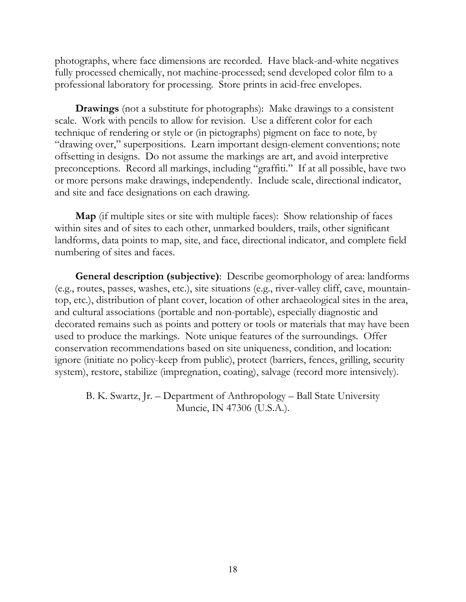photographs, where face dimensions are recorded. Have black-and-white negatives fully processed chemically, not machine-processed; send developed color film to a professional laboratory for processing. Store prints in acid-free envelopes.

**Drawings** (not a substitute for photographs): Make drawings to a consistent scale. Work with pencils to allow for revision. Use a different color for each technique of rendering or style or (in pictographs) pigment on face to note, by "drawing over," superpositions. Learn important design-element conventions; note offsetting in designs. Do not assume the markings are art, and avoid interpretive preconceptions. Record all markings, including "graffiti." If at all possible, have two or more persons make drawings, independently. Include scale, directional indicator, and site and face designations on each drawing.

**Map** (if multiple sites or site with multiple faces): Show relationship of faces within sites and of sites to each other, unmarked boulders, trails, other significant landforms, data points to map, site, and face, directional indicator, and complete field numbering of sites and faces.

**General description (subjective)**: Describe geomorphology of area: landforms (e.g., routes, passes, washes, etc.), site situations (e.g., river-valley cliff, cave, mountaintop, etc.), distribution of plant cover, location of other archaeological sites in the area, and cultural associations (portable and non-portable), especially diagnostic and decorated remains such as points and pottery or tools or materials that may have been used to produce the markings. Note unique features of the surroundings. Offer conservation recommendations based on site uniqueness, condition, and location: ignore (initiate no policy-keep from public), protect (barriers, fences, grilling, security system), restore, stabilize (impregnation, coating), salvage (record more intensively).

B. K. Swartz, Jr. – Department of Anthropology – Ball State University Muncie, IN 47306 (U.S.A.).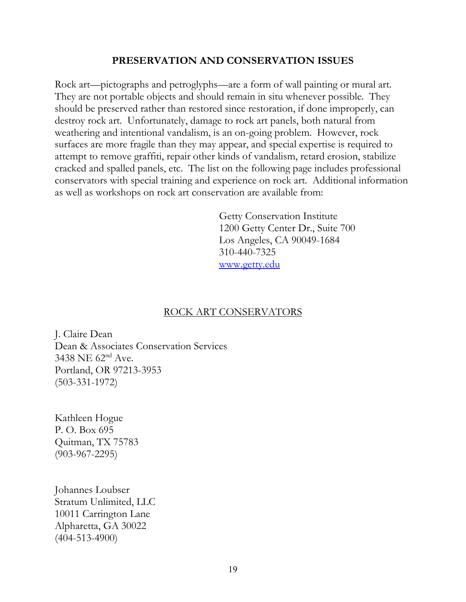# **PRESERVATION AND CONSERVATION ISSUES**

Rock art—pictographs and petroglyphs—are a form of wall painting or mural art. They are not portable objects and should remain in situ whenever possible. They should be preserved rather than restored since restoration, if done improperly, can destroy rock art. Unfortunately, damage to rock art panels, both natural from weathering and intentional vandalism, is an on-going problem. However, rock surfaces are more fragile than they may appear, and special expertise is required to attempt to remove graffiti, repair other kinds of vandalism, retard erosion, stabilize cracked and spalled panels, etc. The list on the following page includes professional conservators with special training and experience on rock art. Additional information as well as workshops on rock art conservation are available from:

> Getty Conservation Institute 1200 Getty Center Dr., Suite 700 Los Angeles, CA 90049-1684 310-440-7325 [www.getty.edu](http://www.getty.edu/)

# ROCK ART CONSERVATORS

J. Claire Dean Dean & Associates Conservation Services  $3438$  NE  $62<sup>nd</sup>$  Ave. Portland, OR 97213-3953 (503-331-1972)

Kathleen Hogue P. O. Box 695 Quitman, TX 75783 (903-967-2295)

Johannes Loubser Stratum Unlimited, LLC 10011 Carrington Lane Alpharetta, GA 30022 (404-513-4900)